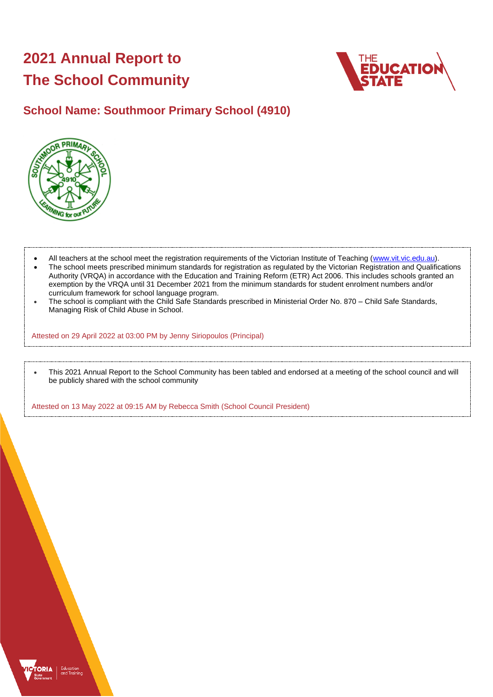# **2021 Annual Report to The School Community**



## **School Name: Southmoor Primary School (4910)**



- All teachers at the school meet the registration requirements of the Victorian Institute of Teaching [\(www.vit.vic.edu.au\)](https://www.vit.vic.edu.au/).
- The school meets prescribed minimum standards for registration as regulated by the Victorian Registration and Qualifications Authority (VRQA) in accordance with the Education and Training Reform (ETR) Act 2006. This includes schools granted an exemption by the VRQA until 31 December 2021 from the minimum standards for student enrolment numbers and/or curriculum framework for school language program.
- The school is compliant with the Child Safe Standards prescribed in Ministerial Order No. 870 Child Safe Standards, Managing Risk of Child Abuse in School.

Attested on 29 April 2022 at 03:00 PM by Jenny Siriopoulos (Principal)

• This 2021 Annual Report to the School Community has been tabled and endorsed at a meeting of the school council and will be publicly shared with the school community

Attested on 13 May 2022 at 09:15 AM by Rebecca Smith (School Council President)

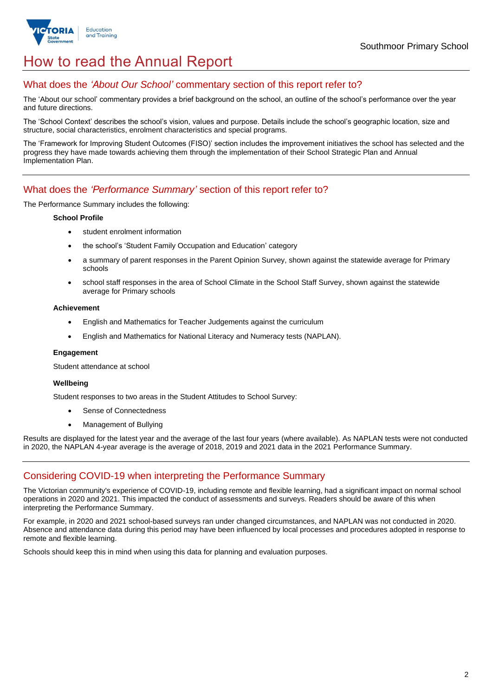

# How to read the Annual Report

## What does the *'About Our School'* commentary section of this report refer to?

The 'About our school' commentary provides a brief background on the school, an outline of the school's performance over the year and future directions.

The 'School Context' describes the school's vision, values and purpose. Details include the school's geographic location, size and structure, social characteristics, enrolment characteristics and special programs.

The 'Framework for Improving Student Outcomes (FISO)' section includes the improvement initiatives the school has selected and the progress they have made towards achieving them through the implementation of their School Strategic Plan and Annual Implementation Plan.

### What does the *'Performance Summary'* section of this report refer to?

The Performance Summary includes the following:

### **School Profile**

- student enrolment information
- the school's 'Student Family Occupation and Education' category
- a summary of parent responses in the Parent Opinion Survey, shown against the statewide average for Primary schools
- school staff responses in the area of School Climate in the School Staff Survey, shown against the statewide average for Primary schools

### **Achievement**

- English and Mathematics for Teacher Judgements against the curriculum
- English and Mathematics for National Literacy and Numeracy tests (NAPLAN).

### **Engagement**

Student attendance at school

### **Wellbeing**

Student responses to two areas in the Student Attitudes to School Survey:

- Sense of Connectedness
- Management of Bullying

Results are displayed for the latest year and the average of the last four years (where available). As NAPLAN tests were not conducted in 2020, the NAPLAN 4-year average is the average of 2018, 2019 and 2021 data in the 2021 Performance Summary.

## Considering COVID-19 when interpreting the Performance Summary

The Victorian community's experience of COVID-19, including remote and flexible learning, had a significant impact on normal school operations in 2020 and 2021. This impacted the conduct of assessments and surveys. Readers should be aware of this when interpreting the Performance Summary.

For example, in 2020 and 2021 school-based surveys ran under changed circumstances, and NAPLAN was not conducted in 2020. Absence and attendance data during this period may have been influenced by local processes and procedures adopted in response to remote and flexible learning.

Schools should keep this in mind when using this data for planning and evaluation purposes.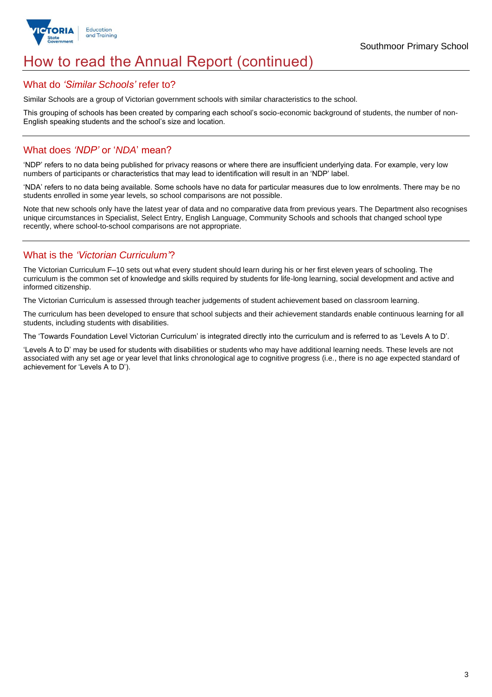

## How to read the Annual Report (continued)

### What do *'Similar Schools'* refer to?

Similar Schools are a group of Victorian government schools with similar characteristics to the school.

This grouping of schools has been created by comparing each school's socio-economic background of students, the number of non-English speaking students and the school's size and location.

## What does *'NDP'* or '*NDA*' mean?

'NDP' refers to no data being published for privacy reasons or where there are insufficient underlying data. For example, very low numbers of participants or characteristics that may lead to identification will result in an 'NDP' label.

'NDA' refers to no data being available. Some schools have no data for particular measures due to low enrolments. There may be no students enrolled in some year levels, so school comparisons are not possible.

Note that new schools only have the latest year of data and no comparative data from previous years. The Department also recognises unique circumstances in Specialist, Select Entry, English Language, Community Schools and schools that changed school type recently, where school-to-school comparisons are not appropriate.

## What is the *'Victorian Curriculum'*?

The Victorian Curriculum F–10 sets out what every student should learn during his or her first eleven years of schooling. The curriculum is the common set of knowledge and skills required by students for life-long learning, social development and active and informed citizenship.

The Victorian Curriculum is assessed through teacher judgements of student achievement based on classroom learning.

The curriculum has been developed to ensure that school subjects and their achievement standards enable continuous learning for all students, including students with disabilities.

The 'Towards Foundation Level Victorian Curriculum' is integrated directly into the curriculum and is referred to as 'Levels A to D'.

'Levels A to D' may be used for students with disabilities or students who may have additional learning needs. These levels are not associated with any set age or year level that links chronological age to cognitive progress (i.e., there is no age expected standard of achievement for 'Levels A to D').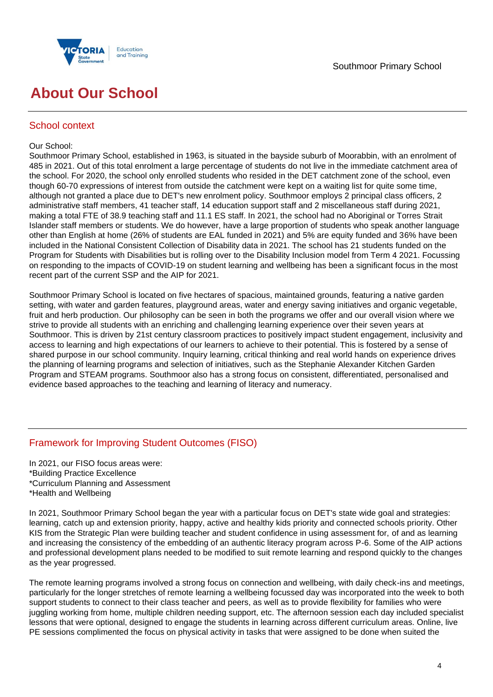

# **About Our School**

### School context

### Our School:

Southmoor Primary School, established in 1963, is situated in the bayside suburb of Moorabbin, with an enrolment of 485 in 2021. Out of this total enrolment a large percentage of students do not live in the immediate catchment area of the school. For 2020, the school only enrolled students who resided in the DET catchment zone of the school, even though 60-70 expressions of interest from outside the catchment were kept on a waiting list for quite some time, although not granted a place due to DET's new enrolment policy. Southmoor employs 2 principal class officers, 2 administrative staff members, 41 teacher staff, 14 education support staff and 2 miscellaneous staff during 2021, making a total FTE of 38.9 teaching staff and 11.1 ES staff. In 2021, the school had no Aboriginal or Torres Strait Islander staff members or students. We do however, have a large proportion of students who speak another language other than English at home (26% of students are EAL funded in 2021) and 5% are equity funded and 36% have been included in the National Consistent Collection of Disability data in 2021. The school has 21 students funded on the Program for Students with Disabilities but is rolling over to the Disability Inclusion model from Term 4 2021. Focussing on responding to the impacts of COVID-19 on student learning and wellbeing has been a significant focus in the most recent part of the current SSP and the AIP for 2021.

Southmoor Primary School is located on five hectares of spacious, maintained grounds, featuring a native garden setting, with water and garden features, playground areas, water and energy saving initiatives and organic vegetable, fruit and herb production. Our philosophy can be seen in both the programs we offer and our overall vision where we strive to provide all students with an enriching and challenging learning experience over their seven years at Southmoor. This is driven by 21st century classroom practices to positively impact student engagement, inclusivity and access to learning and high expectations of our learners to achieve to their potential. This is fostered by a sense of shared purpose in our school community. Inquiry learning, critical thinking and real world hands on experience drives the planning of learning programs and selection of initiatives, such as the Stephanie Alexander Kitchen Garden Program and STEAM programs. Southmoor also has a strong focus on consistent, differentiated, personalised and evidence based approaches to the teaching and learning of literacy and numeracy.

## Framework for Improving Student Outcomes (FISO)

In 2021, our FISO focus areas were: \*Building Practice Excellence \*Curriculum Planning and Assessment \*Health and Wellbeing

In 2021, Southmoor Primary School began the year with a particular focus on DET's state wide goal and strategies: learning, catch up and extension priority, happy, active and healthy kids priority and connected schools priority. Other KIS from the Strategic Plan were building teacher and student confidence in using assessment for, of and as learning and increasing the consistency of the embedding of an authentic literacy program across P-6. Some of the AIP actions and professional development plans needed to be modified to suit remote learning and respond quickly to the changes as the year progressed.

The remote learning programs involved a strong focus on connection and wellbeing, with daily check-ins and meetings, particularly for the longer stretches of remote learning a wellbeing focussed day was incorporated into the week to both support students to connect to their class teacher and peers, as well as to provide flexibility for families who were juggling working from home, multiple children needing support, etc. The afternoon session each day included specialist lessons that were optional, designed to engage the students in learning across different curriculum areas. Online, live PE sessions complimented the focus on physical activity in tasks that were assigned to be done when suited the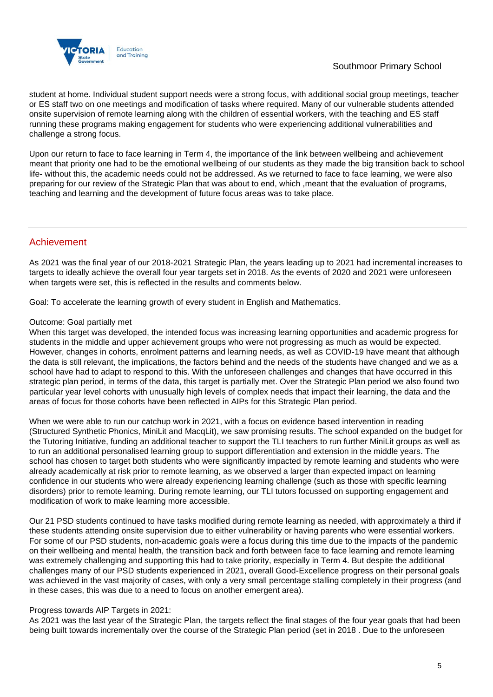

student at home. Individual student support needs were a strong focus, with additional social group meetings, teacher or ES staff two on one meetings and modification of tasks where required. Many of our vulnerable students attended onsite supervision of remote learning along with the children of essential workers, with the teaching and ES staff running these programs making engagement for students who were experiencing additional vulnerabilities and challenge a strong focus.

Upon our return to face to face learning in Term 4, the importance of the link between wellbeing and achievement meant that priority one had to be the emotional wellbeing of our students as they made the big transition back to school life- without this, the academic needs could not be addressed. As we returned to face to face learning, we were also preparing for our review of the Strategic Plan that was about to end, which ,meant that the evaluation of programs, teaching and learning and the development of future focus areas was to take place.

## Achievement

As 2021 was the final year of our 2018-2021 Strategic Plan, the years leading up to 2021 had incremental increases to targets to ideally achieve the overall four year targets set in 2018. As the events of 2020 and 2021 were unforeseen when targets were set, this is reflected in the results and comments below.

Goal: To accelerate the learning growth of every student in English and Mathematics.

### Outcome: Goal partially met

When this target was developed, the intended focus was increasing learning opportunities and academic progress for students in the middle and upper achievement groups who were not progressing as much as would be expected. However, changes in cohorts, enrolment patterns and learning needs, as well as COVID-19 have meant that although the data is still relevant, the implications, the factors behind and the needs of the students have changed and we as a school have had to adapt to respond to this. With the unforeseen challenges and changes that have occurred in this strategic plan period, in terms of the data, this target is partially met. Over the Strategic Plan period we also found two particular year level cohorts with unusually high levels of complex needs that impact their learning, the data and the areas of focus for those cohorts have been reflected in AIPs for this Strategic Plan period.

When we were able to run our catchup work in 2021, with a focus on evidence based intervention in reading (Structured Synthetic Phonics, MiniLit and MacqLit), we saw promising results. The school expanded on the budget for the Tutoring Initiative, funding an additional teacher to support the TLI teachers to run further MiniLit groups as well as to run an additional personalised learning group to support differentiation and extension in the middle years. The school has chosen to target both students who were significantly impacted by remote learning and students who were already academically at risk prior to remote learning, as we observed a larger than expected impact on learning confidence in our students who were already experiencing learning challenge (such as those with specific learning disorders) prior to remote learning. During remote learning, our TLI tutors focussed on supporting engagement and modification of work to make learning more accessible.

Our 21 PSD students continued to have tasks modified during remote learning as needed, with approximately a third if these students attending onsite supervision due to either vulnerability or having parents who were essential workers. For some of our PSD students, non-academic goals were a focus during this time due to the impacts of the pandemic on their wellbeing and mental health, the transition back and forth between face to face learning and remote learning was extremely challenging and supporting this had to take priority, especially in Term 4. But despite the additional challenges many of our PSD students experienced in 2021, overall Good-Excellence progress on their personal goals was achieved in the vast majority of cases, with only a very small percentage stalling completely in their progress (and in these cases, this was due to a need to focus on another emergent area).

### Progress towards AIP Targets in 2021:

As 2021 was the last year of the Strategic Plan, the targets reflect the final stages of the four year goals that had been being built towards incrementally over the course of the Strategic Plan period (set in 2018 . Due to the unforeseen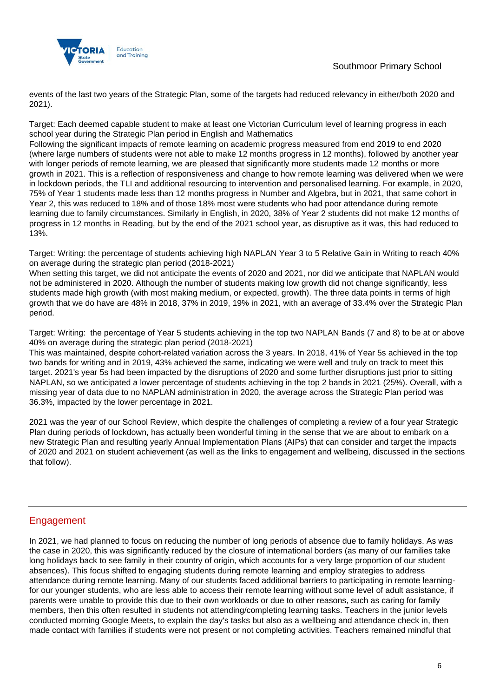

events of the last two years of the Strategic Plan, some of the targets had reduced relevancy in either/both 2020 and 2021).

Target: Each deemed capable student to make at least one Victorian Curriculum level of learning progress in each school year during the Strategic Plan period in English and Mathematics

Following the significant impacts of remote learning on academic progress measured from end 2019 to end 2020 (where large numbers of students were not able to make 12 months progress in 12 months), followed by another year with longer periods of remote learning, we are pleased that significantly more students made 12 months or more growth in 2021. This is a reflection of responsiveness and change to how remote learning was delivered when we were in lockdown periods, the TLI and additional resourcing to intervention and personalised learning. For example, in 2020, 75% of Year 1 students made less than 12 months progress in Number and Algebra, but in 2021, that same cohort in Year 2, this was reduced to 18% and of those 18% most were students who had poor attendance during remote learning due to family circumstances. Similarly in English, in 2020, 38% of Year 2 students did not make 12 months of progress in 12 months in Reading, but by the end of the 2021 school year, as disruptive as it was, this had reduced to 13%.

Target: Writing: the percentage of students achieving high NAPLAN Year 3 to 5 Relative Gain in Writing to reach 40% on average during the strategic plan period (2018-2021)

When setting this target, we did not anticipate the events of 2020 and 2021, nor did we anticipate that NAPLAN would not be administered in 2020. Although the number of students making low growth did not change significantly, less students made high growth (with most making medium, or expected, growth). The three data points in terms of high growth that we do have are 48% in 2018, 37% in 2019, 19% in 2021, with an average of 33.4% over the Strategic Plan period.

Target: Writing: the percentage of Year 5 students achieving in the top two NAPLAN Bands (7 and 8) to be at or above 40% on average during the strategic plan period (2018-2021)

This was maintained, despite cohort-related variation across the 3 years. In 2018, 41% of Year 5s achieved in the top two bands for writing and in 2019, 43% achieved the same, indicating we were well and truly on track to meet this target. 2021's year 5s had been impacted by the disruptions of 2020 and some further disruptions just prior to sitting NAPLAN, so we anticipated a lower percentage of students achieving in the top 2 bands in 2021 (25%). Overall, with a missing year of data due to no NAPLAN administration in 2020, the average across the Strategic Plan period was 36.3%, impacted by the lower percentage in 2021.

2021 was the year of our School Review, which despite the challenges of completing a review of a four year Strategic Plan during periods of lockdown, has actually been wonderful timing in the sense that we are about to embark on a new Strategic Plan and resulting yearly Annual Implementation Plans (AIPs) that can consider and target the impacts of 2020 and 2021 on student achievement (as well as the links to engagement and wellbeing, discussed in the sections that follow).

## Engagement

In 2021, we had planned to focus on reducing the number of long periods of absence due to family holidays. As was the case in 2020, this was significantly reduced by the closure of international borders (as many of our families take long holidays back to see family in their country of origin, which accounts for a very large proportion of our student absences). This focus shifted to engaging students during remote learning and employ strategies to address attendance during remote learning. Many of our students faced additional barriers to participating in remote learningfor our younger students, who are less able to access their remote learning without some level of adult assistance, if parents were unable to provide this due to their own workloads or due to other reasons, such as caring for family members, then this often resulted in students not attending/completing learning tasks. Teachers in the junior levels conducted morning Google Meets, to explain the day's tasks but also as a wellbeing and attendance check in, then made contact with families if students were not present or not completing activities. Teachers remained mindful that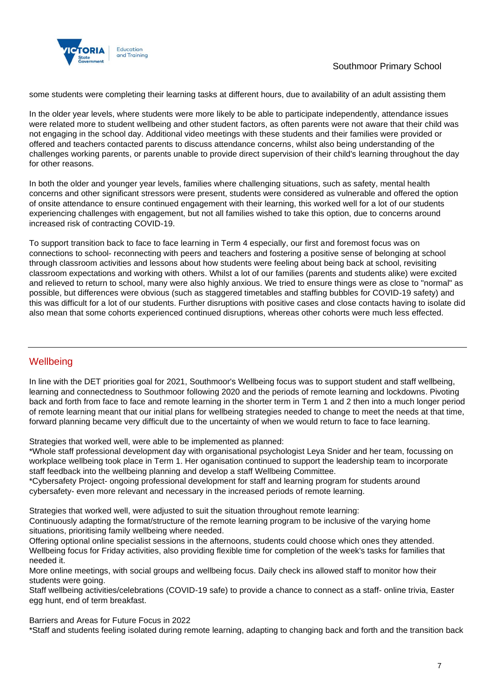

some students were completing their learning tasks at different hours, due to availability of an adult assisting them

In the older year levels, where students were more likely to be able to participate independently, attendance issues were related more to student wellbeing and other student factors, as often parents were not aware that their child was not engaging in the school day. Additional video meetings with these students and their families were provided or offered and teachers contacted parents to discuss attendance concerns, whilst also being understanding of the challenges working parents, or parents unable to provide direct supervision of their child's learning throughout the day for other reasons.

In both the older and younger year levels, families where challenging situations, such as safety, mental health concerns and other significant stressors were present, students were considered as vulnerable and offered the option of onsite attendance to ensure continued engagement with their learning, this worked well for a lot of our students experiencing challenges with engagement, but not all families wished to take this option, due to concerns around increased risk of contracting COVID-19.

To support transition back to face to face learning in Term 4 especially, our first and foremost focus was on connections to school- reconnecting with peers and teachers and fostering a positive sense of belonging at school through classroom activities and lessons about how students were feeling about being back at school, revisiting classroom expectations and working with others. Whilst a lot of our families (parents and students alike) were excited and relieved to return to school, many were also highly anxious. We tried to ensure things were as close to "normal" as possible, but differences were obvious (such as staggered timetables and staffing bubbles for COVID-19 safety) and this was difficult for a lot of our students. Further disruptions with positive cases and close contacts having to isolate did also mean that some cohorts experienced continued disruptions, whereas other cohorts were much less effected.

## **Wellbeing**

In line with the DET priorities goal for 2021, Southmoor's Wellbeing focus was to support student and staff wellbeing, learning and connectedness to Southmoor following 2020 and the periods of remote learning and lockdowns. Pivoting back and forth from face to face and remote learning in the shorter term in Term 1 and 2 then into a much longer period of remote learning meant that our initial plans for wellbeing strategies needed to change to meet the needs at that time, forward planning became very difficult due to the uncertainty of when we would return to face to face learning.

Strategies that worked well, were able to be implemented as planned:

\*Whole staff professional development day with organisational psychologist Leya Snider and her team, focussing on workplace wellbeing took place in Term 1. Her oganisation continued to support the leadership team to incorporate staff feedback into the wellbeing planning and develop a staff Wellbeing Committee.

\*Cybersafety Project- ongoing professional development for staff and learning program for students around cybersafety- even more relevant and necessary in the increased periods of remote learning.

Strategies that worked well, were adjusted to suit the situation throughout remote learning:

Continuously adapting the format/structure of the remote learning program to be inclusive of the varying home situations, prioritising family wellbeing where needed.

Offering optional online specialist sessions in the afternoons, students could choose which ones they attended. Wellbeing focus for Friday activities, also providing flexible time for completion of the week's tasks for families that needed it.

More online meetings, with social groups and wellbeing focus. Daily check ins allowed staff to monitor how their students were going.

Staff wellbeing activities/celebrations (COVID-19 safe) to provide a chance to connect as a staff- online trivia, Easter egg hunt, end of term breakfast.

Barriers and Areas for Future Focus in 2022

\*Staff and students feeling isolated during remote learning, adapting to changing back and forth and the transition back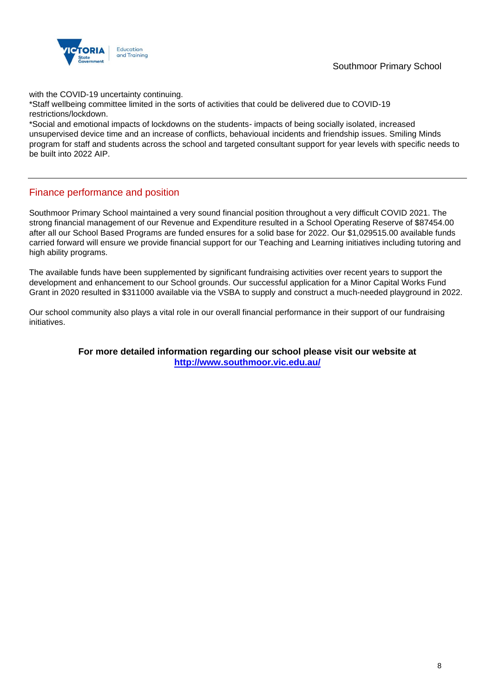

with the COVID-19 uncertainty continuing.

\*Staff wellbeing committee limited in the sorts of activities that could be delivered due to COVID-19 restrictions/lockdown.

\*Social and emotional impacts of lockdowns on the students- impacts of being socially isolated, increased unsupervised device time and an increase of conflicts, behavioual incidents and friendship issues. Smiling Minds program for staff and students across the school and targeted consultant support for year levels with specific needs to be built into 2022 AIP.

## Finance performance and position

Southmoor Primary School maintained a very sound financial position throughout a very difficult COVID 2021. The strong financial management of our Revenue and Expenditure resulted in a School Operating Reserve of \$87454.00 after all our School Based Programs are funded ensures for a solid base for 2022. Our \$1,029515.00 available funds carried forward will ensure we provide financial support for our Teaching and Learning initiatives including tutoring and high ability programs.

The available funds have been supplemented by significant fundraising activities over recent years to support the development and enhancement to our School grounds. Our successful application for a Minor Capital Works Fund Grant in 2020 resulted in \$311000 available via the VSBA to supply and construct a much-needed playground in 2022.

Our school community also plays a vital role in our overall financial performance in their support of our fundraising initiatives.

> **For more detailed information regarding our school please visit our website at <http://www.southmoor.vic.edu.au/>**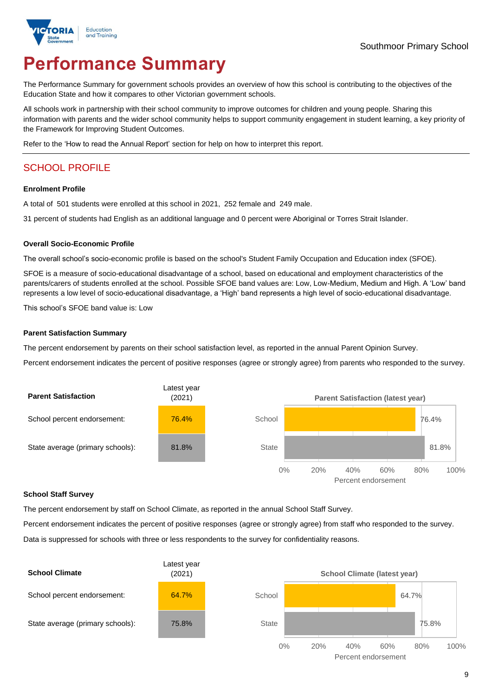

# **Performance Summary**

The Performance Summary for government schools provides an overview of how this school is contributing to the objectives of the Education State and how it compares to other Victorian government schools.

All schools work in partnership with their school community to improve outcomes for children and young people. Sharing this information with parents and the wider school community helps to support community engagement in student learning, a key priority of the Framework for Improving Student Outcomes.

Refer to the 'How to read the Annual Report' section for help on how to interpret this report.

## SCHOOL PROFILE

### **Enrolment Profile**

A total of 501 students were enrolled at this school in 2021, 252 female and 249 male.

31 percent of students had English as an additional language and 0 percent were Aboriginal or Torres Strait Islander.

### **Overall Socio-Economic Profile**

The overall school's socio-economic profile is based on the school's Student Family Occupation and Education index (SFOE).

SFOE is a measure of socio-educational disadvantage of a school, based on educational and employment characteristics of the parents/carers of students enrolled at the school. Possible SFOE band values are: Low, Low-Medium, Medium and High. A 'Low' band represents a low level of socio-educational disadvantage, a 'High' band represents a high level of socio-educational disadvantage.

This school's SFOE band value is: Low

### **Parent Satisfaction Summary**

The percent endorsement by parents on their school satisfaction level, as reported in the annual Parent Opinion Survey.

Percent endorsement indicates the percent of positive responses (agree or strongly agree) from parents who responded to the survey.



### **School Staff Survey**

The percent endorsement by staff on School Climate, as reported in the annual School Staff Survey.

Percent endorsement indicates the percent of positive responses (agree or strongly agree) from staff who responded to the survey. Data is suppressed for schools with three or less respondents to the survey for confidentiality reasons.

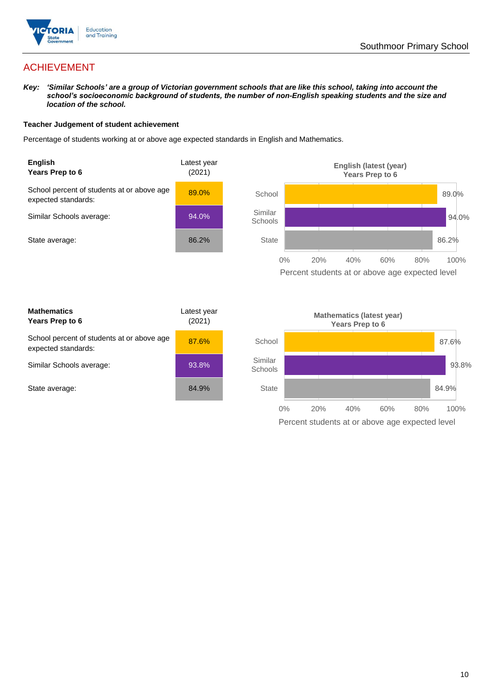

## ACHIEVEMENT

*Key: 'Similar Schools' are a group of Victorian government schools that are like this school, taking into account the school's socioeconomic background of students, the number of non-English speaking students and the size and location of the school.*

### **Teacher Judgement of student achievement**

Percentage of students working at or above age expected standards in English and Mathematics.



Percent students at or above age expected level

| <b>Mathematics</b><br>Years Prep to 6                             | Latest year<br>(2021) |
|-------------------------------------------------------------------|-----------------------|
| School percent of students at or above age<br>expected standards: | 87.6%                 |
| Similar Schools average:                                          | 93.8%                 |
| State average:                                                    | 84.9%                 |

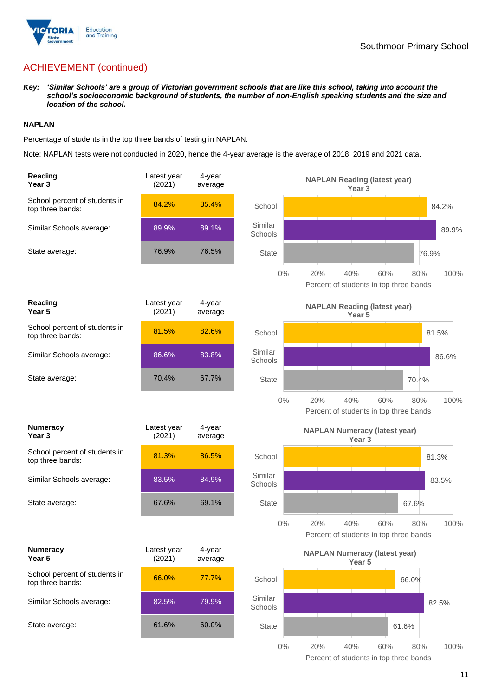

## ACHIEVEMENT (continued)

*Key: 'Similar Schools' are a group of Victorian government schools that are like this school, taking into account the school's socioeconomic background of students, the number of non-English speaking students and the size and location of the school.*

### **NAPLAN**

Percentage of students in the top three bands of testing in NAPLAN.

Note: NAPLAN tests were not conducted in 2020, hence the 4-year average is the average of 2018, 2019 and 2021 data.

| Reading<br>Year <sub>3</sub>                      | Latest year<br>(2021) | 4-year<br>average |                    | <b>NAPLAN Reading (latest year)</b><br>Year <sub>3</sub>                   |
|---------------------------------------------------|-----------------------|-------------------|--------------------|----------------------------------------------------------------------------|
| School percent of students in<br>top three bands: | 84.2%                 | 85.4%             | School             | 84.2%                                                                      |
| Similar Schools average:                          | 89.9%                 | 89.1%             | Similar<br>Schools | 89.9%                                                                      |
| State average:                                    | 76.9%                 | 76.5%             | <b>State</b>       | 76.9%                                                                      |
|                                                   |                       |                   | $0\%$              | 20%<br>40%<br>60%<br>100%<br>80%<br>Percent of students in top three bands |
| Reading<br>Year <sub>5</sub>                      | Latest year<br>(2021) | 4-year<br>average |                    | <b>NAPLAN Reading (latest year)</b><br>Year 5                              |
| School percent of students in<br>top three bands: | 81.5%                 | 82.6%             | School             | 81.5%                                                                      |
| Similar Schools average:                          | 86.6%                 | 83.8%             | Similar<br>Schools | 86.6%                                                                      |
| State average:                                    | 70.4%                 | 67.7%             | <b>State</b>       | 70.4%                                                                      |
|                                                   |                       |                   | $0\%$              | 20%<br>40%<br>60%<br>100%<br>80%<br>Percent of students in top three bands |
| <b>Numeracy</b><br>Year <sub>3</sub>              | Latest year<br>(2021) | 4-year<br>average |                    | <b>NAPLAN Numeracy (latest year)</b><br>Year <sub>3</sub>                  |
| School percent of students in<br>top three bands: | 81.3%                 | 86.5%             | School             | 81.3%                                                                      |
| Similar Schools average:                          | 83.5%                 | 84.9%             | Similar<br>Schools | 83.5%                                                                      |
| State average:                                    | 67.6%                 | 69.1%             | <b>State</b>       | 67.6%                                                                      |
|                                                   |                       |                   | $0\%$              | 20%<br>40%<br>60%<br>80%<br>100%<br>Percent of students in top three bands |
| <b>Numeracy</b><br>Year 5                         | Latest year<br>(2021) | 4-year<br>average |                    | <b>NAPLAN Numeracy (latest year)</b><br>Year 5                             |
| School percent of students in<br>top three bands: | 66.0%                 | 77.7%             | School             | 66.0%                                                                      |
| Similar Schools average:                          | 82.5%                 | 79.9%             | Similar<br>Schools | 82.5%                                                                      |
| State average:                                    | 61.6%                 | 60.0%             | <b>State</b>       | 61.6%                                                                      |
|                                                   |                       |                   | $0\%$              | 20%<br>40%<br>60%<br>80%<br>100%                                           |

Percent of students in top three bands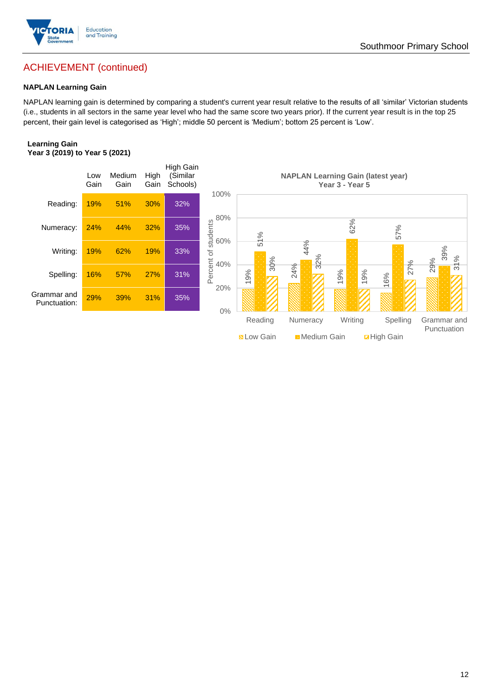

## ACHIEVEMENT (continued)

### **NAPLAN Learning Gain**

NAPLAN learning gain is determined by comparing a student's current year result relative to the results of all 'similar' Victorian students (i.e., students in all sectors in the same year level who had the same score two years prior). If the current year result is in the top 25 percent, their gain level is categorised as 'High'; middle 50 percent is 'Medium'; bottom 25 percent is 'Low'.

### **Learning Gain Year 3 (2019) to Year 5 (2021)**

![](_page_11_Figure_5.jpeg)

**N** Low Gain **Medium Gain High Gain**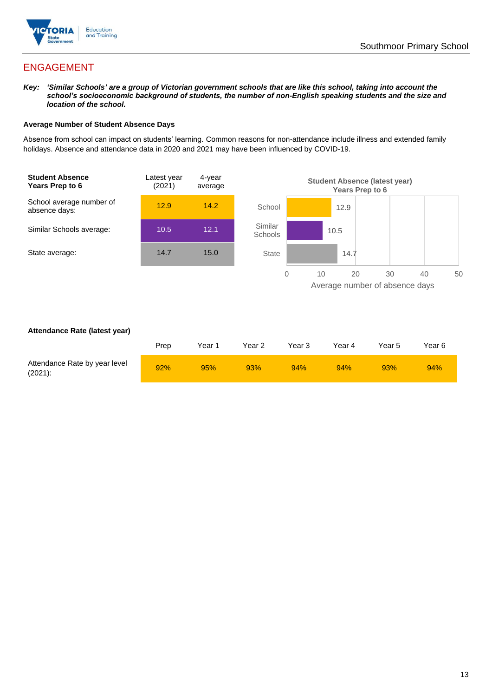![](_page_12_Picture_0.jpeg)

## ENGAGEMENT

*Key: 'Similar Schools' are a group of Victorian government schools that are like this school, taking into account the school's socioeconomic background of students, the number of non-English speaking students and the size and location of the school.*

### **Average Number of Student Absence Days**

Absence from school can impact on students' learning. Common reasons for non-attendance include illness and extended family holidays. Absence and attendance data in 2020 and 2021 may have been influenced by COVID-19.

![](_page_12_Figure_6.jpeg)

### **Attendance Rate (latest year)**

|                                             | Prep | Year 1 | Year 2 | Year 3 | Year 4 | Year 5 | Year 6 |
|---------------------------------------------|------|--------|--------|--------|--------|--------|--------|
| Attendance Rate by year level<br>$(2021)$ : | 92%  | 95%    | 93%    | 94%    | 94%    | 93%    | 94%    |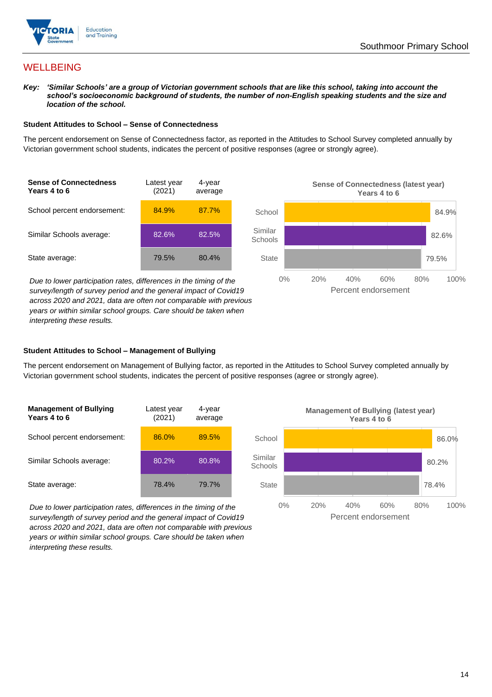![](_page_13_Picture_0.jpeg)

## **WELLBEING**

*Key: 'Similar Schools' are a group of Victorian government schools that are like this school, taking into account the*  school's socioeconomic background of students, the number of non-English speaking students and the size and *location of the school.*

### **Student Attitudes to School – Sense of Connectedness**

The percent endorsement on Sense of Connectedness factor, as reported in the Attitudes to School Survey completed annually by Victorian government school students, indicates the percent of positive responses (agree or strongly agree).

![](_page_13_Figure_6.jpeg)

*Due to lower participation rates, differences in the timing of the survey/length of survey period and the general impact of Covid19 across 2020 and 2021, data are often not comparable with previous years or within similar school groups. Care should be taken when interpreting these results.*

![](_page_13_Figure_8.jpeg)

### **Student Attitudes to School – Management of Bullying**

The percent endorsement on Management of Bullying factor, as reported in the Attitudes to School Survey completed annually by Victorian government school students, indicates the percent of positive responses (agree or strongly agree).

| <b>Management of Bullying</b><br>Years 4 to 6 | Latest year<br>(2021) | 4-year<br>average |  |
|-----------------------------------------------|-----------------------|-------------------|--|
| School percent endorsement:                   | 86.0%                 | 89.5%             |  |
| Similar Schools average:                      | 80.2%                 | 80.8%             |  |
| State average:                                | 78.4%                 | 79.7%             |  |

*Due to lower participation rates, differences in the timing of the survey/length of survey period and the general impact of Covid19 across 2020 and 2021, data are often not comparable with previous years or within similar school groups. Care should be taken when interpreting these results.*

![](_page_13_Figure_13.jpeg)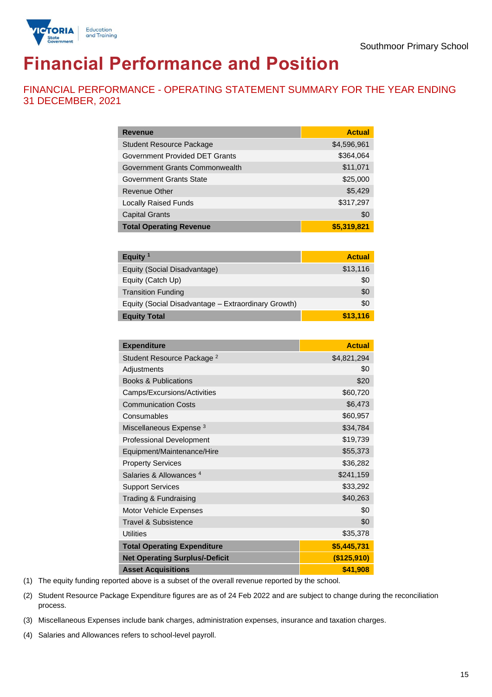![](_page_14_Picture_1.jpeg)

# **Financial Performance and Position**

FINANCIAL PERFORMANCE - OPERATING STATEMENT SUMMARY FOR THE YEAR ENDING 31 DECEMBER, 2021

| <b>Revenue</b>                  | <b>Actual</b> |
|---------------------------------|---------------|
| <b>Student Resource Package</b> | \$4,596,961   |
| Government Provided DET Grants  | \$364,064     |
| Government Grants Commonwealth  | \$11,071      |
| Government Grants State         | \$25,000      |
| Revenue Other                   | \$5,429       |
| <b>Locally Raised Funds</b>     | \$317,297     |
| <b>Capital Grants</b>           | \$0           |
| <b>Total Operating Revenue</b>  | \$5,319,821   |

| Equity $1$                                          | <b>Actual</b> |
|-----------------------------------------------------|---------------|
| Equity (Social Disadvantage)                        | \$13,116      |
| Equity (Catch Up)                                   | \$0           |
| <b>Transition Funding</b>                           | \$0           |
| Equity (Social Disadvantage - Extraordinary Growth) | \$0           |
| <b>Equity Total</b>                                 | \$13,116      |

| <b>Expenditure</b>                    | <b>Actual</b> |
|---------------------------------------|---------------|
| Student Resource Package <sup>2</sup> | \$4,821,294   |
| Adjustments                           | \$0           |
| <b>Books &amp; Publications</b>       | \$20          |
| Camps/Excursions/Activities           | \$60,720      |
| <b>Communication Costs</b>            | \$6,473       |
| Consumables                           | \$60,957      |
| Miscellaneous Expense <sup>3</sup>    | \$34,784      |
| <b>Professional Development</b>       | \$19,739      |
| Equipment/Maintenance/Hire            | \$55,373      |
| <b>Property Services</b>              | \$36,282      |
| Salaries & Allowances <sup>4</sup>    | \$241,159     |
| <b>Support Services</b>               | \$33,292      |
| Trading & Fundraising                 | \$40,263      |
| Motor Vehicle Expenses                | \$0           |
| Travel & Subsistence                  | \$0           |
| <b>Utilities</b>                      | \$35,378      |
| <b>Total Operating Expenditure</b>    | \$5,445,731   |
| <b>Net Operating Surplus/-Deficit</b> | (\$125,910)   |
| <b>Asset Acquisitions</b>             | \$41,908      |

(1) The equity funding reported above is a subset of the overall revenue reported by the school.

(2) Student Resource Package Expenditure figures are as of 24 Feb 2022 and are subject to change during the reconciliation process.

(3) Miscellaneous Expenses include bank charges, administration expenses, insurance and taxation charges.

(4) Salaries and Allowances refers to school-level payroll.